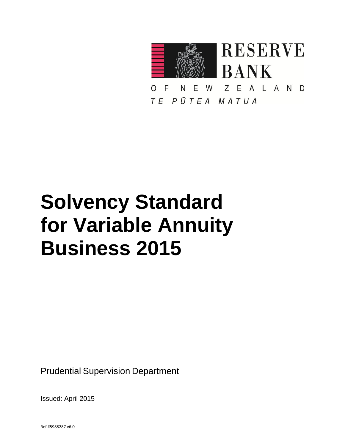

EALAND W  $Z$ F N E.  $\Omega$ TE PŪTEA MATUA

# **Solvency Standard for Variable Annuity Business 2015**

Prudential Supervision Department

Issued: April 2015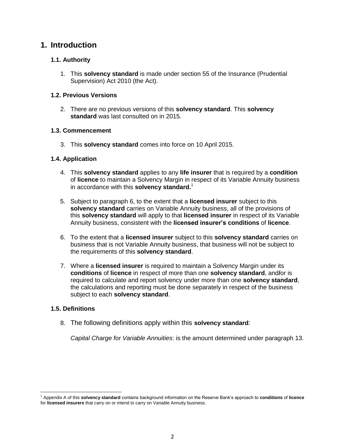# **1. Introduction**

# **1.1. Authority**

1. This **solvency standard** is made under section 55 of the Insurance (Prudential Supervision) Act 2010 (the Act).

## **1.2. Previous Versions**

2. There are no previous versions of this **solvency standard**. This **solvency standard** was last consulted on in 2015.

## **1.3. Commencement**

3. This **solvency standard** comes into force on 10 April 2015.

## **1.4. Application**

- 4. This **solvency standard** applies to any **life insurer** that is required by a **condition** of **licence** to maintain a Solvency Margin in respect of its Variable Annuity business in accordance with this **solvency standard.** 1
- 5. Subject to paragraph 6, to the extent that a **licensed insurer** subject to this **solvency standard** carries on Variable Annuity business, all of the provisions of this **solvency standard** will apply to that **licensed insurer** in respect of its Variable Annuity business, consistent with the **licensed insurer's conditions** of **licence**.
- 6. To the extent that a **licensed insurer** subject to this **solvency standard** carries on business that is not Variable Annuity business, that business will not be subject to the requirements of this **solvency standard**.
- 7. Where a **licensed insurer** is required to maintain a Solvency Margin under its **conditions** of **licence** in respect of more than one **solvency standard**, and**/**or is required to calculate and report solvency under more than one **solvency standard**, the calculations and reporting must be done separately in respect of the business subject to each **solvency standard**.

## **1.5. Definitions**

8. The following definitions apply within this **solvency standard**:

*Capital Charge for Variable Annuities*: is the amount determined under paragraph 13.

l <sup>1</sup> Appendix A of this **solvency standard** contains background information on the Reserve Bank's approach to **conditions** of **licence** for **licensed insurers** that carry on or intend to carry on Variable Annuity business.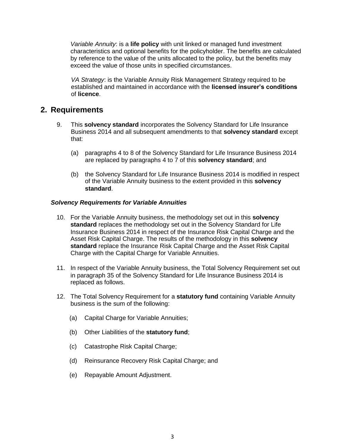*Variable Annuity*: is a **life policy** with unit linked or managed fund investment characteristics and optional benefits for the policyholder. The benefits are calculated by reference to the value of the units allocated to the policy, but the benefits may exceed the value of those units in specified circumstances.

*VA Strategy*: is the Variable Annuity Risk Management Strategy required to be established and maintained in accordance with the **licensed insurer's conditions** of **licence**.

# **2. Requirements**

- 9. This **solvency standard** incorporates the Solvency Standard for Life Insurance Business 2014 and all subsequent amendments to that **solvency standard** except that:
	- (a) paragraphs 4 to 8 of the Solvency Standard for Life Insurance Business 2014 are replaced by paragraphs 4 to 7 of this **solvency standard**; and
	- (b) the Solvency Standard for Life Insurance Business 2014 is modified in respect of the Variable Annuity business to the extent provided in this **solvency standard**.

#### *Solvency Requirements for Variable Annuities*

- 10. For the Variable Annuity business, the methodology set out in this **solvency standard** replaces the methodology set out in the Solvency Standard for Life Insurance Business 2014 in respect of the Insurance Risk Capital Charge and the Asset Risk Capital Charge. The results of the methodology in this **solvency standard** replace the Insurance Risk Capital Charge and the Asset Risk Capital Charge with the Capital Charge for Variable Annuities.
- 11. In respect of the Variable Annuity business, the Total Solvency Requirement set out in paragraph 35 of the Solvency Standard for Life Insurance Business 2014 is replaced as follows.
- 12. The Total Solvency Requirement for a **statutory fund** containing Variable Annuity business is the sum of the following:
	- (a) Capital Charge for Variable Annuities;
	- (b) Other Liabilities of the **statutory fund**;
	- (c) Catastrophe Risk Capital Charge;
	- (d) Reinsurance Recovery Risk Capital Charge; and
	- (e) Repayable Amount Adjustment.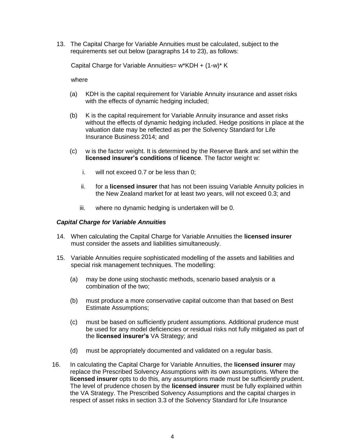13. The Capital Charge for Variable Annuities must be calculated, subject to the requirements set out below (paragraphs 14 to 23), as follows:

Capital Charge for Variable Annuities= w\*KDH + (1-w)\* K

where

- (a) KDH is the capital requirement for Variable Annuity insurance and asset risks with the effects of dynamic hedging included;
- (b) K is the capital requirement for Variable Annuity insurance and asset risks without the effects of dynamic hedging included. Hedge positions in place at the valuation date may be reflected as per the Solvency Standard for Life Insurance Business 2014; and
- (c) w is the factor weight. It is determined by the Reserve Bank and set within the **licensed insurer's conditions** of **licence**. The factor weight w:
	- i. will not exceed 0.7 or be less than 0;
	- ii. for a **licensed insurer** that has not been issuing Variable Annuity policies in the New Zealand market for at least two years, will not exceed 0.3; and
	- iii. where no dynamic hedging is undertaken will be 0.

#### *Capital Charge for Variable Annuities*

- 14. When calculating the Capital Charge for Variable Annuities the **licensed insurer** must consider the assets and liabilities simultaneously.
- 15. Variable Annuities require sophisticated modelling of the assets and liabilities and special risk management techniques. The modelling:
	- (a) may be done using stochastic methods, scenario based analysis or a combination of the two;
	- (b) must produce a more conservative capital outcome than that based on Best Estimate Assumptions;
	- (c) must be based on sufficiently prudent assumptions. Additional prudence must be used for any model deficiencies or residual risks not fully mitigated as part of the **licensed insurer's** VA Strategy; and
	- (d) must be appropriately documented and validated on a regular basis.
- 16. In calculating the Capital Charge for Variable Annuities, the **licensed insurer** may replace the Prescribed Solvency Assumptions with its own assumptions. Where the **licensed insurer** opts to do this, any assumptions made must be sufficiently prudent. The level of prudence chosen by the **licensed insurer** must be fully explained within the VA Strategy. The Prescribed Solvency Assumptions and the capital charges in respect of asset risks in section 3.3 of the Solvency Standard for Life Insurance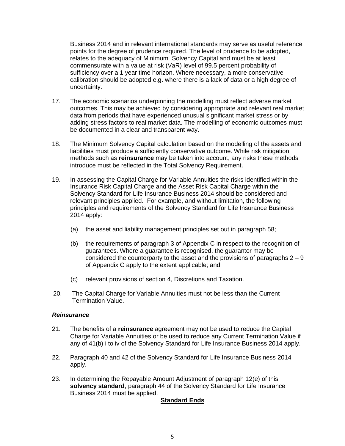Business 2014 and in relevant international standards may serve as useful reference points for the degree of prudence required. The level of prudence to be adopted, relates to the adequacy of Minimum Solvency Capital and must be at least commensurate with a value at risk (VaR) level of 99.5 percent probability of sufficiency over a 1 year time horizon. Where necessary, a more conservative calibration should be adopted e.g. where there is a lack of data or a high degree of uncertainty.

- 17. The economic scenarios underpinning the modelling must reflect adverse market outcomes. This may be achieved by considering appropriate and relevant real market data from periods that have experienced unusual significant market stress or by adding stress factors to real market data. The modelling of economic outcomes must be documented in a clear and transparent way.
- 18. The Minimum Solvency Capital calculation based on the modelling of the assets and liabilities must produce a sufficiently conservative outcome. While risk mitigation methods such as **reinsurance** may be taken into account, any risks these methods introduce must be reflected in the Total Solvency Requirement.
- 19. In assessing the Capital Charge for Variable Annuities the risks identified within the Insurance Risk Capital Charge and the Asset Risk Capital Charge within the Solvency Standard for Life Insurance Business 2014 should be considered and relevant principles applied. For example, and without limitation, the following principles and requirements of the Solvency Standard for Life Insurance Business 2014 apply:
	- (a) the asset and liability management principles set out in paragraph 58;
	- (b) the requirements of paragraph 3 of Appendix C in respect to the recognition of guarantees. Where a guarantee is recognised, the guarantor may be considered the counterparty to the asset and the provisions of paragraphs  $2 - 9$ of Appendix C apply to the extent applicable; and
	- (c) relevant provisions of section 4, Discretions and Taxation.
- 20. The Capital Charge for Variable Annuities must not be less than the Current Termination Value.

#### *Reinsurance*

- 21. The benefits of a **reinsurance** agreement may not be used to reduce the Capital Charge for Variable Annuities or be used to reduce any Current Termination Value if any of 41(b) i to iv of the Solvency Standard for Life Insurance Business 2014 apply.
- 22. Paragraph 40 and 42 of the Solvency Standard for Life Insurance Business 2014 apply.
- 23. In determining the Repayable Amount Adjustment of paragraph 12(e) of this **solvency standard**, paragraph 44 of the Solvency Standard for Life Insurance Business 2014 must be applied.

#### **Standard Ends**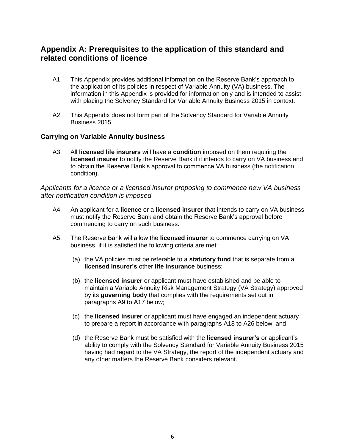# **Appendix A: Prerequisites to the application of this standard and related conditions of licence**

- A1. This Appendix provides additional information on the Reserve Bank's approach to the application of its policies in respect of Variable Annuity (VA) business. The information in this Appendix is provided for information only and is intended to assist with placing the Solvency Standard for Variable Annuity Business 2015 in context.
- A2. This Appendix does not form part of the Solvency Standard for Variable Annuity Business 2015.

# **Carrying on Variable Annuity business**

A3. All **licensed life insurers** will have a **condition** imposed on them requiring the **licensed insurer** to notify the Reserve Bank if it intends to carry on VA business and to obtain the Reserve Bank's approval to commence VA business (the notification condition).

*Applicants for a licence or a licensed insurer proposing to commence new VA business after notification condition is imposed*

- A4. An applicant for a **licence** or a **licensed insurer** that intends to carry on VA business must notify the Reserve Bank and obtain the Reserve Bank's approval before commencing to carry on such business.
- A5. The Reserve Bank will allow the **licensed insurer** to commence carrying on VA business, if it is satisfied the following criteria are met:
	- (a) the VA policies must be referable to a **statutory fund** that is separate from a **licensed insurer's** other **life insurance** business;
	- (b) the **licensed insurer** or applicant must have established and be able to maintain a Variable Annuity Risk Management Strategy (VA Strategy) approved by its **governing body** that complies with the requirements set out in paragraphs A9 to A17 below;
	- (c) the **licensed insurer** or applicant must have engaged an independent actuary to prepare a report in accordance with paragraphs A18 to A26 below; and
	- (d) the Reserve Bank must be satisfied with the **licensed insurer's** or applicant's ability to comply with the Solvency Standard for Variable Annuity Business 2015 having had regard to the VA Strategy, the report of the independent actuary and any other matters the Reserve Bank considers relevant.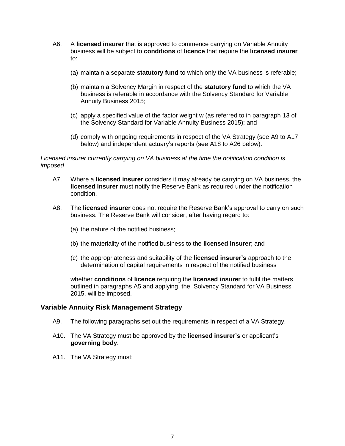- A6. A **licensed insurer** that is approved to commence carrying on Variable Annuity business will be subject to **conditions** of **licence** that require the **licensed insurer** to:
	- (a) maintain a separate **statutory fund** to which only the VA business is referable;
	- (b) maintain a Solvency Margin in respect of the **statutory fund** to which the VA business is referable in accordance with the Solvency Standard for Variable Annuity Business 2015;
	- (c) apply a specified value of the factor weight w (as referred to in paragraph 13 of the Solvency Standard for Variable Annuity Business 2015); and
	- (d) comply with ongoing requirements in respect of the VA Strategy (see A9 to A17 below) and independent actuary's reports (see A18 to A26 below).

*Licensed insurer currently carrying on VA business at the time the notification condition is imposed*

- A7. Where a **licensed insurer** considers it may already be carrying on VA business, the **licensed insurer** must notify the Reserve Bank as required under the notification condition.
- A8. The **licensed insurer** does not require the Reserve Bank's approval to carry on such business. The Reserve Bank will consider, after having regard to:
	- (a) the nature of the notified business;
	- (b) the materiality of the notified business to the **licensed insurer**; and
	- (c) the appropriateness and suitability of the **licensed insurer's** approach to the determination of capital requirements in respect of the notified business

whether **conditions** of **licence** requiring the **licensed insurer** to fulfil the matters outlined in paragraphs A5 and applying the Solvency Standard for VA Business 2015, will be imposed.

#### **Variable Annuity Risk Management Strategy**

- A9. The following paragraphs set out the requirements in respect of a VA Strategy.
- A10. The VA Strategy must be approved by the **licensed insurer's** or applicant's **governing body**.
- A11. The VA Strategy must: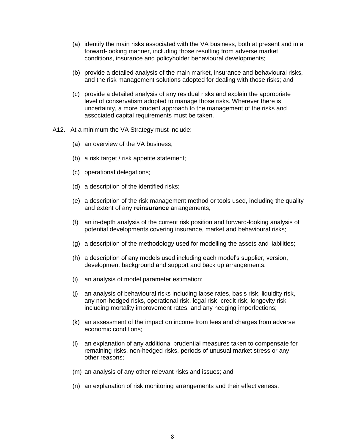- (a) identify the main risks associated with the VA business, both at present and in a forward-looking manner, including those resulting from adverse market conditions, insurance and policyholder behavioural developments;
- (b) provide a detailed analysis of the main market, insurance and behavioural risks, and the risk management solutions adopted for dealing with those risks; and
- (c) provide a detailed analysis of any residual risks and explain the appropriate level of conservatism adopted to manage those risks. Wherever there is uncertainty, a more prudent approach to the management of the risks and associated capital requirements must be taken.
- A12. At a minimum the VA Strategy must include:
	- (a) an overview of the VA business;
	- (b) a risk target / risk appetite statement;
	- (c) operational delegations;
	- (d) a description of the identified risks;
	- (e) a description of the risk management method or tools used, including the quality and extent of any **reinsurance** arrangements;
	- (f) an in-depth analysis of the current risk position and forward-looking analysis of potential developments covering insurance, market and behavioural risks;
	- (g) a description of the methodology used for modelling the assets and liabilities;
	- (h) a description of any models used including each model's supplier, version, development background and support and back up arrangements;
	- (i) an analysis of model parameter estimation;
	- (j) an analysis of behavioural risks including lapse rates, basis risk, liquidity risk, any non-hedged risks, operational risk, legal risk, credit risk, longevity risk including mortality improvement rates, and any hedging imperfections;
	- (k) an assessment of the impact on income from fees and charges from adverse economic conditions;
	- (l) an explanation of any additional prudential measures taken to compensate for remaining risks, non-hedged risks, periods of unusual market stress or any other reasons;
	- (m) an analysis of any other relevant risks and issues; and
	- (n) an explanation of risk monitoring arrangements and their effectiveness.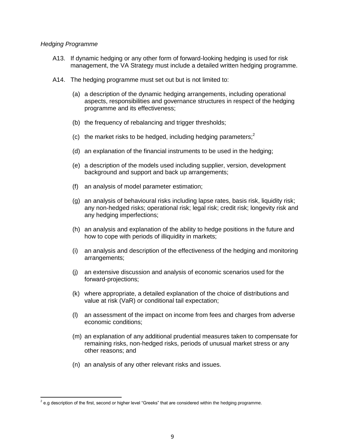#### *Hedging Programme*

- A13. If dynamic hedging or any other form of forward-looking hedging is used for risk management, the VA Strategy must include a detailed written hedging programme.
- A14. The hedging programme must set out but is not limited to:
	- (a) a description of the dynamic hedging arrangements, including operational aspects, responsibilities and governance structures in respect of the hedging programme and its effectiveness;
	- (b) the frequency of rebalancing and trigger thresholds;
	- (c) the market risks to be hedged, including hedging parameters;<sup>2</sup>
	- (d) an explanation of the financial instruments to be used in the hedging;
	- (e) a description of the models used including supplier, version, development background and support and back up arrangements;
	- (f) an analysis of model parameter estimation;
	- (g) an analysis of behavioural risks including lapse rates, basis risk, liquidity risk; any non-hedged risks; operational risk; legal risk; credit risk; longevity risk and any hedging imperfections;
	- (h) an analysis and explanation of the ability to hedge positions in the future and how to cope with periods of illiquidity in markets;
	- (i) an analysis and description of the effectiveness of the hedging and monitoring arrangements;
	- (j) an extensive discussion and analysis of economic scenarios used for the forward-projections;
	- (k) where appropriate, a detailed explanation of the choice of distributions and value at risk (VaR) or conditional tail expectation;
	- (l) an assessment of the impact on income from fees and charges from adverse economic conditions;
	- (m) an explanation of any additional prudential measures taken to compensate for remaining risks, non-hedged risks, periods of unusual market stress or any other reasons; and
	- (n) an analysis of any other relevant risks and issues.

 2 e.g description of the first, second or higher level "Greeks" that are considered within the hedging programme.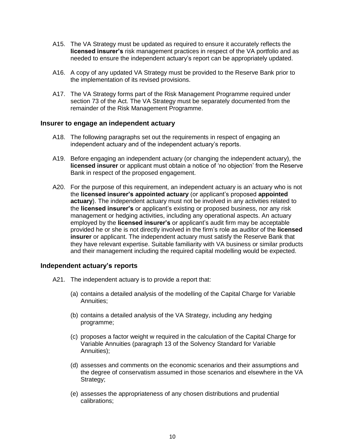- A15. The VA Strategy must be updated as required to ensure it accurately reflects the **licensed insurer's** risk management practices in respect of the VA portfolio and as needed to ensure the independent actuary's report can be appropriately updated.
- A16. A copy of any updated VA Strategy must be provided to the Reserve Bank prior to the implementation of its revised provisions.
- A17. The VA Strategy forms part of the Risk Management Programme required under section 73 of the Act. The VA Strategy must be separately documented from the remainder of the Risk Management Programme.

#### **Insurer to engage an independent actuary**

- A18. The following paragraphs set out the requirements in respect of engaging an independent actuary and of the independent actuary's reports.
- A19. Before engaging an independent actuary (or changing the independent actuary), the **licensed insurer** or applicant must obtain a notice of 'no objection' from the Reserve Bank in respect of the proposed engagement.
- A20. For the purpose of this requirement, an independent actuary is an actuary who is not the **licensed insurer's appointed actuary** (or applicant's proposed **appointed actuary**). The independent actuary must not be involved in any activities related to the **licensed insurer's** or applicant's existing or proposed business, nor any risk management or hedging activities, including any operational aspects. An actuary employed by the **licensed insurer's** or applicant's audit firm may be acceptable provided he or she is not directly involved in the firm's role as auditor of the **licensed insurer** or applicant. The independent actuary must satisfy the Reserve Bank that they have relevant expertise. Suitable familiarity with VA business or similar products and their management including the required capital modelling would be expected.

#### **Independent actuary's reports**

- A21. The independent actuary is to provide a report that:
	- (a) contains a detailed analysis of the modelling of the Capital Charge for Variable Annuities;
	- (b) contains a detailed analysis of the VA Strategy, including any hedging programme;
	- (c) proposes a factor weight w required in the calculation of the Capital Charge for Variable Annuities (paragraph 13 of the Solvency Standard for Variable Annuities);
	- (d) assesses and comments on the economic scenarios and their assumptions and the degree of conservatism assumed in those scenarios and elsewhere in the VA Strategy;
	- (e) assesses the appropriateness of any chosen distributions and prudential calibrations;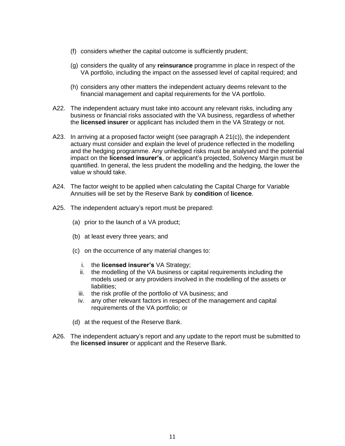- (f) considers whether the capital outcome is sufficiently prudent;
- (g) considers the quality of any **reinsurance** programme in place in respect of the VA portfolio, including the impact on the assessed level of capital required; and
- (h) considers any other matters the independent actuary deems relevant to the financial management and capital requirements for the VA portfolio.
- A22. The independent actuary must take into account any relevant risks, including any business or financial risks associated with the VA business, regardless of whether the **licensed insurer** or applicant has included them in the VA Strategy or not.
- A23. In arriving at a proposed factor weight (see paragraph A 21(c)), the independent actuary must consider and explain the level of prudence reflected in the modelling and the hedging programme. Any unhedged risks must be analysed and the potential impact on the **licensed insurer's**, or applicant's projected, Solvency Margin must be quantified. In general, the less prudent the modelling and the hedging, the lower the value w should take.
- A24. The factor weight to be applied when calculating the Capital Charge for Variable Annuities will be set by the Reserve Bank by **condition** of **licence**.
- A25. The independent actuary's report must be prepared:
	- (a) prior to the launch of a VA product;
	- (b) at least every three years; and
	- (c) on the occurrence of any material changes to:
		- i. the **licensed insurer's** VA Strategy;
		- ii. the modelling of the VA business or capital requirements including the models used or any providers involved in the modelling of the assets or liabilities;
		- iii. the risk profile of the portfolio of VA business; and
		- iv. any other relevant factors in respect of the management and capital requirements of the VA portfolio; or
	- (d) at the request of the Reserve Bank.
- A26. The independent actuary's report and any update to the report must be submitted to the **licensed insurer** or applicant and the Reserve Bank.